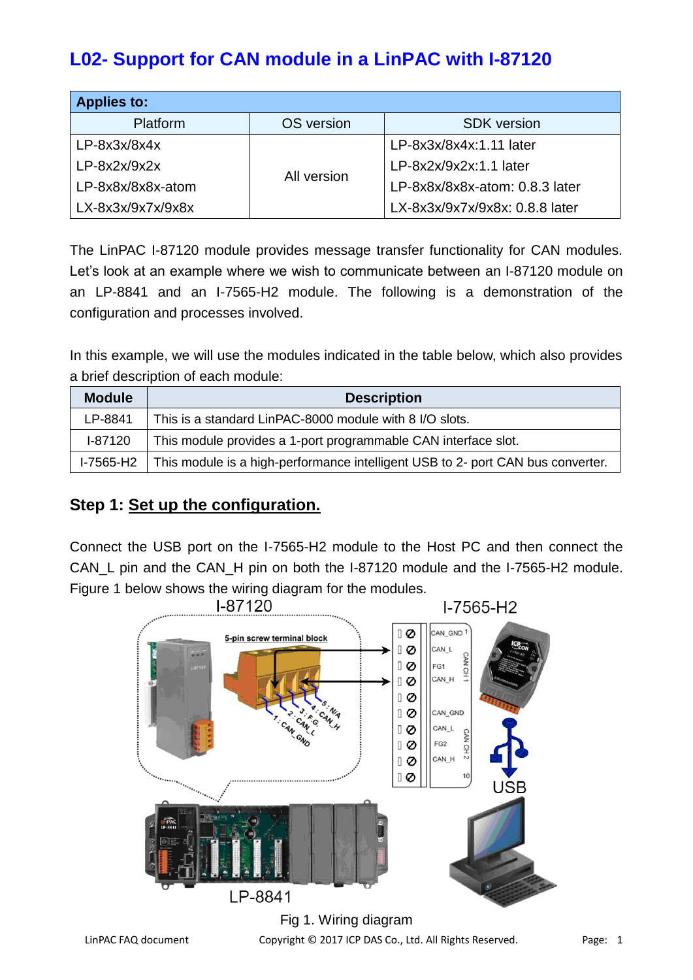# **L02- Support for CAN module in a LinPAC with I-87120**

| <b>Applies to:</b> |             |                                |  |
|--------------------|-------------|--------------------------------|--|
| <b>Platform</b>    | OS version  | <b>SDK</b> version             |  |
| $LP-8x3x/8x4x$     |             | LP-8x3x/8x4x:1.11 later        |  |
| $LP-8x2x/9x2x$     |             | LP-8x2x/9x2x:1.1 later         |  |
| LP-8x8x/8x8x-atom  | All version | LP-8x8x/8x8x-atom: 0.8.3 later |  |
| LX-8x3x/9x7x/9x8x  |             | LX-8x3x/9x7x/9x8x: 0.8.8 later |  |

The LinPAC I-87120 module provides message transfer functionality for CAN modules. Let's look at an example where we wish to communicate between an I-87120 module on an LP-8841 and an I-7565-H2 module. The following is a demonstration of the configuration and processes involved.

In this example, we will use the modules indicated in the table below, which also provides a brief description of each module:

| <b>Module</b> | <b>Description</b>                                                              |
|---------------|---------------------------------------------------------------------------------|
| LP-8841       | This is a standard LinPAC-8000 module with 8 I/O slots.                         |
| I-87120       | This module provides a 1-port programmable CAN interface slot.                  |
| $I-7565-H2$   | This module is a high-performance intelligent USB to 2- port CAN bus converter. |

#### **Step 1: Set up the configuration.**

Connect the USB port on the I-7565-H2 module to the Host PC and then connect the CAN L pin and the CAN H pin on both the I-87120 module and the I-7565-H2 module. Figure 1 below shows the wiring diagram for the modules.



LinPAC FAQ document Copyright © 2017 ICP DAS Co., Ltd. All Rights Reserved. Page: 1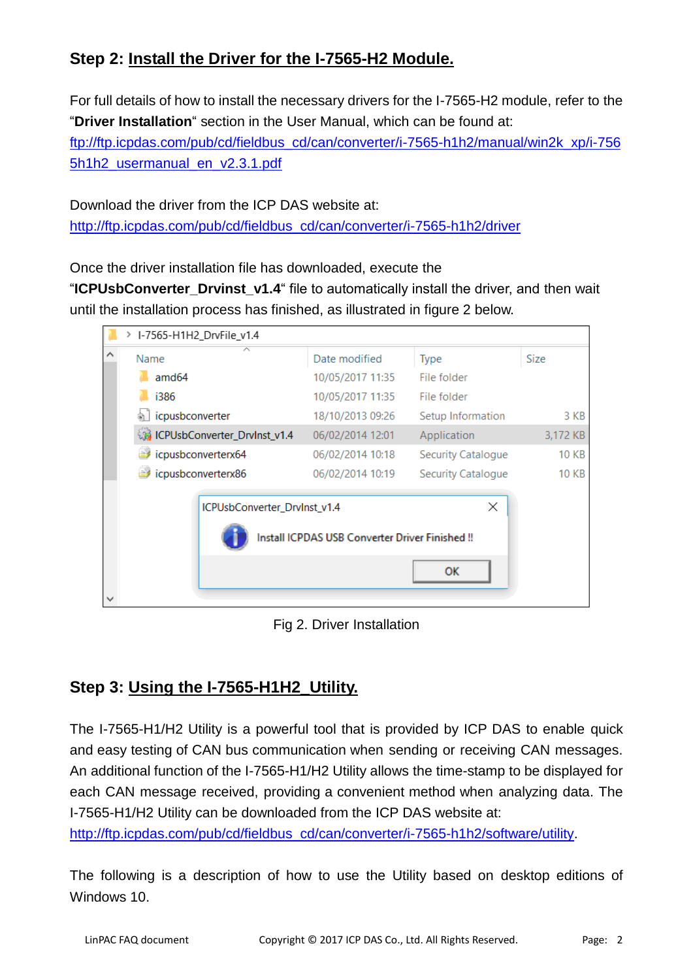## **Step 2: Install the Driver for the I-7565-H2 Module.**

For full details of how to install the necessary drivers for the I-7565-H2 module, refer to the "**Driver Installation**" section in the User Manual, which can be found at: [ftp://ftp.icpdas.com/pub/cd/fieldbus\\_cd/can/converter/i-7565-h1h2/manual/win2k\\_xp/i-756](ftp://ftp.icpdas.com/pub/cd/fieldbus_cd/can/converter/i-7565-h1h2/manual/win2k_xp/i-7565h1h2_usermanual_en_v2.3.1.pdf) [5h1h2\\_usermanual\\_en\\_v2.3.1.pdf](ftp://ftp.icpdas.com/pub/cd/fieldbus_cd/can/converter/i-7565-h1h2/manual/win2k_xp/i-7565h1h2_usermanual_en_v2.3.1.pdf)

Download the driver from the ICP DAS website at: [http://ftp.icpdas.com/pub/cd/fieldbus\\_cd/can/converter/i-7565-h1h2/driver](http://ftp.icpdas.com/pub/cd/fieldbus_cd/can/converter/i-7565-h1h2/driver)

Once the driver installation file has downloaded, execute the

"**ICPUsbConverter\_Drvinst\_v1.4**" file to automatically install the driver, and then wait until the installation process has finished, as illustrated in figure 2 below.

|   | > I-7565-H1H2_DrvFile_v1.4                                                                 |                  |                    |              |  |
|---|--------------------------------------------------------------------------------------------|------------------|--------------------|--------------|--|
| ∧ | Name                                                                                       | Date modified    | <b>Type</b>        | Size         |  |
|   | amd <sub>64</sub>                                                                          | 10/05/2017 11:35 | File folder        |              |  |
|   | i386                                                                                       | 10/05/2017 11:35 | File folder        |              |  |
|   | icpusbconverter                                                                            | 18/10/2013 09:26 | Setup Information  | 3 KB         |  |
|   | <b>CPUsbConverter_DrvInst_v1.4</b>                                                         | 06/02/2014 12:01 | Application        | 3,172 KB     |  |
|   | icpusbconverterx64                                                                         | 06/02/2014 10:18 | Security Catalogue | <b>10 KB</b> |  |
|   | icpusbconverterx86                                                                         | 06/02/2014 10:19 | Security Catalogue | <b>10 KB</b> |  |
|   | ×<br>ICPUsbConverter_DrvInst_v1.4<br>Install ICPDAS USB Converter Driver Finished !!<br>OK |                  |                    |              |  |

Fig 2. Driver Installation

## **Step 3: Using the I-7565-H1H2\_Utility.**

The I-7565-H1/H2 Utility is a powerful tool that is provided by ICP DAS to enable quick and easy testing of CAN bus communication when sending or receiving CAN messages. An additional function of the I-7565-H1/H2 Utility allows the time-stamp to be displayed for each CAN message received, providing a convenient method when analyzing data. The I-7565-H1/H2 Utility can be downloaded from the ICP DAS website at:

[http://ftp.icpdas.com/pub/cd/fieldbus\\_cd/can/converter/i-7565-h1h2/software/utility.](http://ftp.icpdas.com/pub/cd/fieldbus_cd/can/converter/i-7565-h1h2/software/utility)

The following is a description of how to use the Utility based on desktop editions of Windows 10.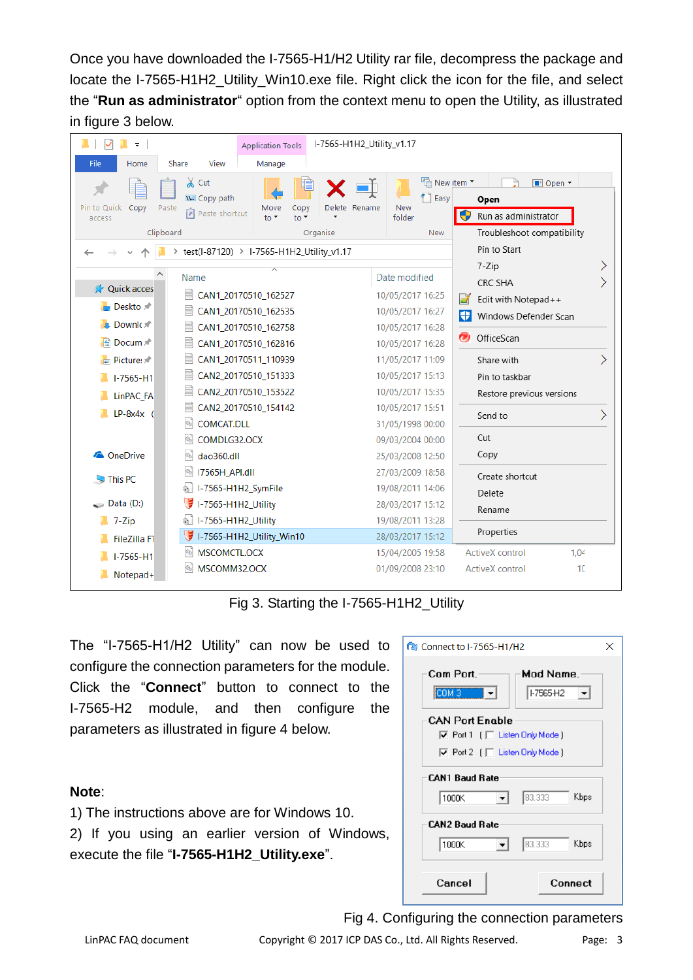Once you have downloaded the I-7565-H1/H2 Utility rar file, decompress the package and locate the I-7565-H1H2\_Utility\_Win10.exe file. Right click the icon for the file, and select the "**Run as administrator**" option from the context menu to open the Utility, as illustrated in figure 3 below.

| ₹                             | <b>Application Tools</b>                               | I-7565-H1H2_Utility_v1.17        |                                     |  |
|-------------------------------|--------------------------------------------------------|----------------------------------|-------------------------------------|--|
| File<br>Home                  | View<br>Share<br>Manage                                |                                  |                                     |  |
|                               | $\chi$ Cut                                             | The New item *<br>$\blacksquare$ | <b>II</b> Open ▼                    |  |
| Pin to Quick<br>Copy          | W. Copy path<br>Delete Rename<br>Move<br>Copy<br>Paste | Easy<br><b>New</b>               | Open                                |  |
| access                        | Paste shortcut<br>$to -$<br>$\frac{1}{2}$              | folder                           | Run as administrator                |  |
|                               | Clipboard<br>Organise                                  | <b>New</b>                       | Troubleshoot compatibility          |  |
|                               | > test(I-87120) > I-7565-H1H2_Utility_v1.17            |                                  | Pin to Start                        |  |
|                               | ∧<br>Name                                              | Date modified                    | 7-Zip                               |  |
| <b>A</b> Quick acces          | CAN1 20170510 162527                                   | 10/05/2017 16:25                 | CRC SHA                             |  |
| Deskto $\pi$                  | CAN1_20170510_162535                                   | 10/05/2017 16:27                 | Edit with Notepad++                 |  |
| $\Box$ Downl $\Box$           | CAN1_20170510_162758                                   | 10/05/2017 16:28                 | Windows Defender Scan<br>÷          |  |
| 图 Docum 术                     | CAN1_20170510_162816                                   | 10/05/2017 16:28                 | œ<br>OfficeScan                     |  |
| $\blacksquare$ Picture: $\pi$ | CAN1_20170511_110939                                   | 11/05/2017 11:09                 | $\mathcal{P}$<br>Share with         |  |
| $I - 7565 - H1$               | CAN2_20170510_151333                                   | 10/05/2017 15:13                 | Pin to taskbar                      |  |
| LinPAC FA                     | CAN2 20170510 153522                                   | 10/05/2017 15:35                 | Restore previous versions           |  |
| $LP-8x4x$                     | CAN2_20170510_154142                                   | 10/05/2017 15:51                 | $\overline{\phantom{1}}$<br>Send to |  |
|                               | <b>COMCAT.DLL</b>                                      | 31/05/1998 00:00                 |                                     |  |
|                               | COMDLG32.OCX                                           | 09/03/2004 00:00                 | Cut                                 |  |
| <b>ConeDrive</b>              | dao360.dll                                             | 25/03/2008 12:50                 | Copy                                |  |
| This PC                       | 17565H API.dll                                         | 27/03/2009 18:58                 | Create shortcut                     |  |
|                               | I-7565-H1H2_SymFile                                    | 19/08/2011 14:06                 | Delete                              |  |
| $\Box$ Data (D:)              | I-7565-H1H2_Utility                                    | 28/03/2017 15:12                 | Rename                              |  |
| 7-Zip                         | I-7565-H1H2_Utility                                    | 19/08/2011 13:28                 | Properties                          |  |
| FileZilla F1                  | I-7565-H1H2_Utility_Win10                              | 28/03/2017 15:12                 |                                     |  |
| $I - 7565 - H1$               | MSCOMCTL.OCX<br>%                                      | 15/04/2005 19:58                 | <b>ActiveX</b> control<br>1,04      |  |
| Notepad+                      | MSCOMM32.OCX<br>O.                                     | 01/09/2008 23:10                 | ActiveX control<br>10 <sup>2</sup>  |  |

Fig 3. Starting the I-7565-H1H2\_Utility

The "I-7565-H1/H2 Utility" can now be used to configure the connection parameters for the module. Click the "**Connect**" button to connect to the I-7565-H2 module, and then configure the parameters as illustrated in figure 4 below.

#### **Note**:

1) The instructions above are for Windows 10. 2) If you using an earlier version of Windows, execute the file "**I-7565-H1H2\_Utility.exe**".

| <b>R</b> <sup>1</sup> Connect to I-7565-H1/H2<br>×            |  |
|---------------------------------------------------------------|--|
| Com Port.<br>Mod Name.<br>$[COM3 \t - \t - \t]$<br>II-7565-H2 |  |
| <b>CAN Port Enable</b>                                        |  |
| $\triangledown$ Port 1 ( $\square$ Listen Only Mode)          |  |
| $\overline{\vee}$ Port 2 $\Gamma$ Listen Only Mode )          |  |
| <b>CAN1 Baud Rate</b><br>83.333<br>Kbps<br>1000K              |  |
| <b>CAN2 Baud Bate</b><br>83.333<br>Kbps<br>1000K<br>▾╎        |  |
| Connect<br>Cancel                                             |  |

Fig 4. Configuring the connection parameters

LinPAC FAQ document Copyright © 2017 ICP DAS Co., Ltd. All Rights Reserved. Page: 3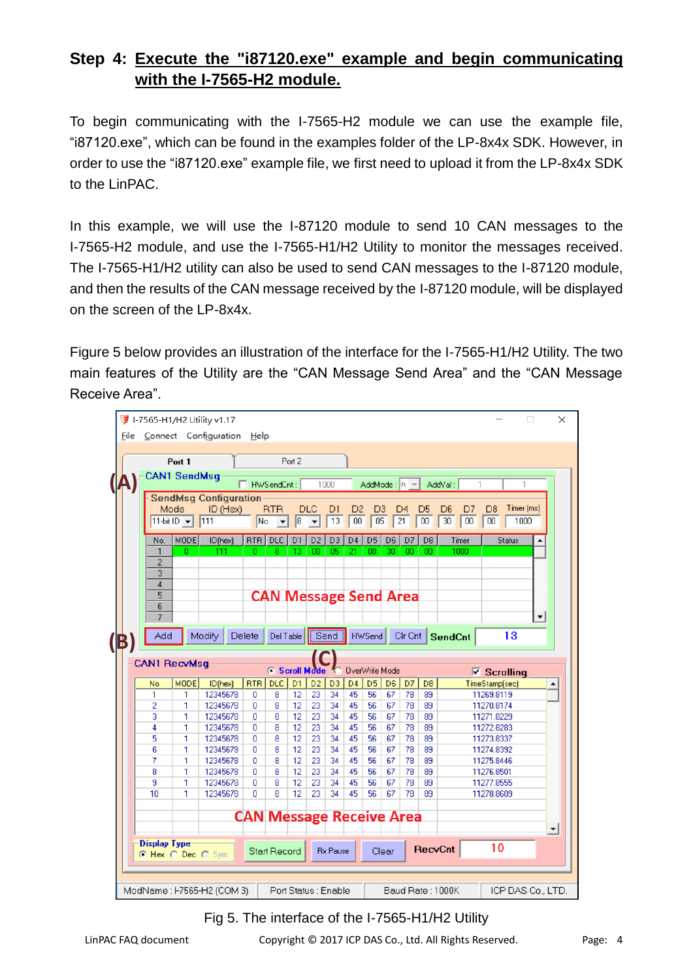### **Step 4: Execute the "i87120.exe" example and begin communicating with the I-7565-H2 module.**

To begin communicating with the I-7565-H2 module we can use the example file, "i87120.exe", which can be found in the examples folder of the LP-8x4x SDK. However, in order to use the "i87120.exe" example file, we first need to upload it from the LP-8x4x SDK to the LinPAC.

In this example, we will use the I-87120 module to send 10 CAN messages to the I-7565-H2 module, and use the I-7565-H1/H2 Utility to monitor the messages received. The I-7565-H1/H2 utility can also be used to send CAN messages to the I-87120 module, and then the results of the CAN message received by the I-87120 module, will be displayed on the screen of the LP-8x4x.

Figure 5 below provides an illustration of the interface for the I-7565-H1/H2 Utility. The two main features of the Utility are the "CAN Message Send Area" and the "CAN Message Receive Area".



#### Fig 5. The interface of the I-7565-H1/H2 Utility

LinPAC FAQ document Copyright © 2017 ICP DAS Co., Ltd. All Rights Reserved. Page: 4